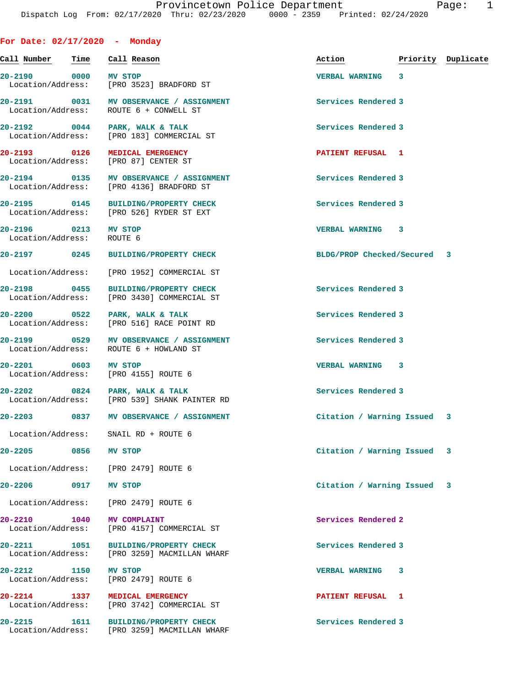## **For Date: 02/17/2020 - Monday**

| Call Number                                       | Time | Call Reason                                                                         | Action                      | Priority Duplicate |
|---------------------------------------------------|------|-------------------------------------------------------------------------------------|-----------------------------|--------------------|
| 20-2190 0000                                      |      | <b>MV STOP</b><br>Location/Address: [PRO 3523] BRADFORD ST                          | VERBAL WARNING 3            |                    |
|                                                   |      | 20-2191 0031 MV OBSERVANCE / ASSIGNMENT<br>Location/Address: ROUTE 6 + CONWELL ST   | Services Rendered 3         |                    |
|                                                   |      | $20 - 2192$ 0044 PARK, WALK & TALK<br>Location/Address: [PRO 183] COMMERCIAL ST     | Services Rendered 3         |                    |
| 20-2193 0126                                      |      | <b>MEDICAL EMERGENCY</b><br>Location/Address: [PRO 87] CENTER ST                    | PATIENT REFUSAL 1           |                    |
|                                                   |      | 20-2194 0135 MV OBSERVANCE / ASSIGNMENT<br>Location/Address: [PRO 4136] BRADFORD ST | Services Rendered 3         |                    |
|                                                   |      | 20-2195 0145 BUILDING/PROPERTY CHECK<br>Location/Address: [PRO 526] RYDER ST EXT    | Services Rendered 3         |                    |
| 20-2196 0213 MV STOP<br>Location/Address: ROUTE 6 |      |                                                                                     | VERBAL WARNING 3            |                    |
| 20-2197 0245                                      |      | <b>BUILDING/PROPERTY CHECK</b>                                                      | BLDG/PROP Checked/Secured 3 |                    |
|                                                   |      | Location/Address: [PRO 1952] COMMERCIAL ST                                          |                             |                    |
|                                                   |      | 20-2198 0455 BUILDING/PROPERTY CHECK<br>Location/Address: [PRO 3430] COMMERCIAL ST  | Services Rendered 3         |                    |
|                                                   |      | 20-2200 0522 PARK, WALK & TALK<br>Location/Address: [PRO 516] RACE POINT RD         | Services Rendered 3         |                    |
|                                                   |      | 20-2199 0529 MV OBSERVANCE / ASSIGNMENT<br>Location/Address: ROUTE 6 + HOWLAND ST   | Services Rendered 3         |                    |
| 20-2201 0603 MV STOP                              |      | Location/Address: [PRO 4155] ROUTE 6                                                | <b>VERBAL WARNING 3</b>     |                    |
|                                                   |      | 20-2202 0824 PARK, WALK & TALK<br>Location/Address: [PRO 539] SHANK PAINTER RD      | Services Rendered 3         |                    |
|                                                   |      | 20-2203 0837 MV OBSERVANCE / ASSIGNMENT                                             | Citation / Warning Issued 3 |                    |
|                                                   |      | Location/Address: SNAIL RD + ROUTE 6                                                |                             |                    |
| 20-2205                                           | 0856 | MV STOP                                                                             | Citation / Warning Issued 3 |                    |
|                                                   |      | Location/Address: [PRO 2479] ROUTE 6                                                |                             |                    |
| $20 - 2206$                                       | 0917 | MV STOP                                                                             | Citation / Warning Issued 3 |                    |
| Location/Address:                                 |      | [PRO 2479] ROUTE 6                                                                  |                             |                    |
| 20-2210 1040<br>Location/Address:                 |      | <b>MV COMPLAINT</b><br>[PRO 4157] COMMERCIAL ST                                     | Services Rendered 2         |                    |
| 20-2211 1051<br>Location/Address:                 |      | <b>BUILDING/PROPERTY CHECK</b><br>[PRO 3259] MACMILLAN WHARF                        | Services Rendered 3         |                    |
| 20-2212<br>Location/Address:                      | 1150 | <b>MV STOP</b><br>[PRO 2479] ROUTE 6                                                | <b>VERBAL WARNING</b><br>3  |                    |
| 20-2214 1337<br>Location/Address:                 |      | MEDICAL EMERGENCY<br>[PRO 3742] COMMERCIAL ST                                       | PATIENT REFUSAL 1           |                    |
| 20-2215                                           | 1611 | <b>BUILDING/PROPERTY CHECK</b><br>Location/Address: [PRO 3259] MACMILLAN WHARF      | Services Rendered 3         |                    |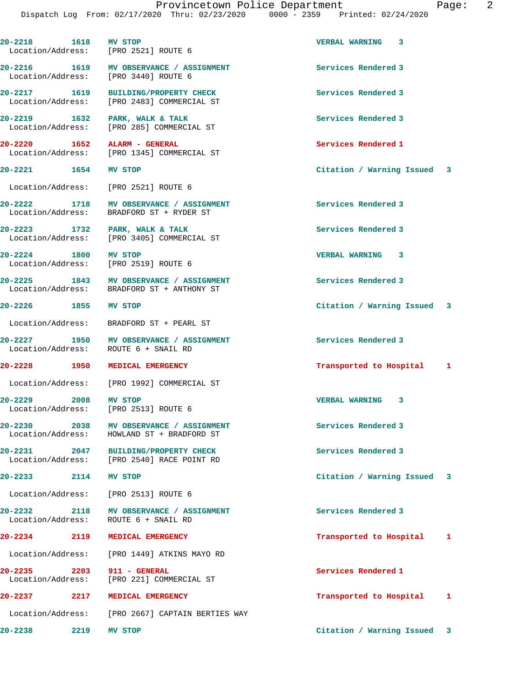| 20-2218 1618 MV STOP | Location/Address: [PRO 2521] ROUTE 6                                                  | VERBAL WARNING 3               |  |
|----------------------|---------------------------------------------------------------------------------------|--------------------------------|--|
|                      | 20-2216 1619 MV OBSERVANCE / ASSIGNMENT<br>Location/Address: [PRO 3440] ROUTE 6       | Services Rendered 3            |  |
|                      | 20-2217 1619 BUILDING/PROPERTY CHECK<br>Location/Address: [PRO 2483] COMMERCIAL ST    | Services Rendered 3            |  |
|                      | 20-2219 1632 PARK, WALK & TALK<br>Location/Address: [PRO 285] COMMERCIAL ST           | Services Rendered 3            |  |
|                      | 20-2220 1652 ALARM - GENERAL<br>Location/Address: [PRO 1345] COMMERCIAL ST            | Services Rendered 1            |  |
| 20-2221 1654 MV STOP |                                                                                       | Citation / Warning Issued 3    |  |
|                      | Location/Address: [PRO 2521] ROUTE 6                                                  |                                |  |
|                      | 20-2222 1718 MV OBSERVANCE / ASSIGNMENT<br>Location/Address: BRADFORD ST + RYDER ST   | Services Rendered 3            |  |
|                      | 20-2223 1732 PARK, WALK & TALK<br>Location/Address: [PRO 3405] COMMERCIAL ST          | Services Rendered 3            |  |
|                      | 20-2224 1800 MV STOP<br>Location/Address: [PRO 2519] ROUTE 6                          | <b>VERBAL WARNING 3</b>        |  |
|                      | 20-2225 1843 MV OBSERVANCE / ASSIGNMENT<br>Location/Address: BRADFORD ST + ANTHONY ST | Services Rendered 3            |  |
| 20-2226 1855 MV STOP |                                                                                       | Citation / Warning Issued 3    |  |
|                      | Location/Address: BRADFORD ST + PEARL ST                                              |                                |  |
|                      | 20-2227 1950 MV OBSERVANCE / ASSIGNMENT<br>Location/Address: ROUTE 6 + SNAIL RD       | Services Rendered 3            |  |
|                      | 20-2228 1950 MEDICAL EMERGENCY                                                        | Transported to Hospital 1      |  |
|                      | Location/Address: [PRO 1992] COMMERCIAL ST                                            |                                |  |
| 20-2229 2008 MV STOP | Location/Address: [PRO 2513] ROUTE 6                                                  | VERBAL WARNING 3               |  |
|                      | 20-2230 2038 MV OBSERVANCE / ASSIGNMENT<br>Location/Address: HOWLAND ST + BRADFORD ST | Services Rendered 3            |  |
|                      | 20-2231 2047 BUILDING/PROPERTY CHECK<br>Location/Address: [PRO 2540] RACE POINT RD    | Services Rendered 3            |  |
| 20-2233 2114 MV STOP |                                                                                       | Citation / Warning Issued<br>3 |  |
|                      | Location/Address: [PRO 2513] ROUTE 6                                                  |                                |  |
|                      | 20-2232 2118 MV OBSERVANCE / ASSIGNMENT<br>Location/Address: ROUTE 6 + SNAIL RD       | Services Rendered 3            |  |
| 20-2234 2119         | <b>MEDICAL EMERGENCY</b>                                                              | Transported to Hospital<br>1   |  |
|                      | Location/Address: [PRO 1449] ATKINS MAYO RD                                           |                                |  |
| 20-2235 2203         | 911 - GENERAL<br>Location/Address: [PRO 221] COMMERCIAL ST                            | Services Rendered 1            |  |
| 20-2237 2217         | <b>MEDICAL EMERGENCY</b>                                                              | Transported to Hospital<br>1   |  |
|                      | Location/Address: [PRO 2667] CAPTAIN BERTIES WAY                                      |                                |  |
| 20-2238<br>2219      | MV STOP                                                                               | Citation / Warning Issued<br>3 |  |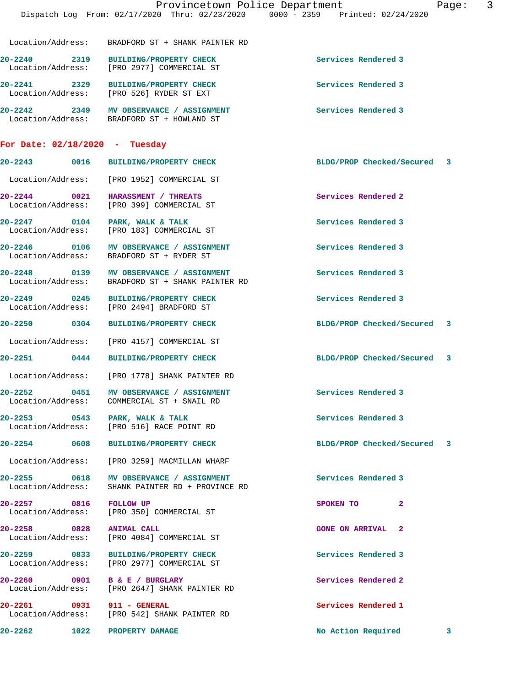|                                   |                                                                                             | Provincetown Police Department<br>Dispatch Log From: 02/17/2020 Thru: 02/23/2020 0000 - 2359 Printed: 02/24/2020 | Page: | -3 |
|-----------------------------------|---------------------------------------------------------------------------------------------|------------------------------------------------------------------------------------------------------------------|-------|----|
|                                   | Location/Address: BRADFORD ST + SHANK PAINTER RD                                            |                                                                                                                  |       |    |
| 20-2240                           | 20-2240 2319 BUILDING/PROPERTY CHECK<br>Location/Address: [PRO 2977] COMMERCIAL ST          | Services Rendered 3                                                                                              |       |    |
|                                   | 20-2241 2329 BUILDING/PROPERTY CHECK<br>Location/Address: [PRO 526] RYDER ST EXT            | Services Rendered 3                                                                                              |       |    |
|                                   | 20-2242 2349 MV OBSERVANCE / ASSIGNMENT<br>Location/Address: BRADFORD ST + HOWLAND ST       | Services Rendered 3                                                                                              |       |    |
| For Date: $02/18/2020$ - Tuesday  |                                                                                             |                                                                                                                  |       |    |
|                                   | 20-2243  0016 BUILDING/PROPERTY CHECK                                                       | BLDG/PROP Checked/Secured 3                                                                                      |       |    |
|                                   | Location/Address: [PRO 1952] COMMERCIAL ST                                                  |                                                                                                                  |       |    |
| Location/Address:                 | 20-2244 0021 HARASSMENT / THREATS<br>[PRO 399] COMMERCIAL ST                                | Services Rendered 2                                                                                              |       |    |
| Location/Address:                 | 20-2247 0104 PARK, WALK & TALK<br>[PRO 183] COMMERCIAL ST                                   | Services Rendered 3                                                                                              |       |    |
|                                   | 20-2246 0106 MV OBSERVANCE / ASSIGNMENT<br>Location/Address: BRADFORD ST + RYDER ST         | Services Rendered 3                                                                                              |       |    |
|                                   | 20-2248 0139 MV OBSERVANCE / ASSIGNMENT<br>Location/Address: BRADFORD ST + SHANK PAINTER RD | Services Rendered 3                                                                                              |       |    |
|                                   | 20-2249 0245 BUILDING/PROPERTY CHECK<br>Location/Address: [PRO 2494] BRADFORD ST            | Services Rendered 3                                                                                              |       |    |
|                                   | 20-2250 0304 BUILDING/PROPERTY CHECK                                                        | BLDG/PROP Checked/Secured 3                                                                                      |       |    |
|                                   | Location/Address: [PRO 4157] COMMERCIAL ST                                                  |                                                                                                                  |       |    |
|                                   | 20-2251 0444 BUILDING/PROPERTY CHECK                                                        | BLDG/PROP Checked/Secured 3                                                                                      |       |    |
|                                   | Location/Address: [PRO 1778] SHANK PAINTER RD                                               |                                                                                                                  |       |    |
| 20-2252<br>0451                   | MV OBSERVANCE / ASSIGNMENT<br>Location/Address: COMMERCIAL ST + SNAIL RD                    | Services Rendered 3                                                                                              |       |    |
|                                   | 20-2253 0543 PARK, WALK & TALK<br>Location/Address: [PRO 516] RACE POINT RD                 | Services Rendered 3                                                                                              |       |    |
| 20-2254 0608                      | <b>BUILDING/PROPERTY CHECK</b>                                                              | BLDG/PROP Checked/Secured                                                                                        | -3    |    |
| Location/Address:                 | [PRO 3259] MACMILLAN WHARF                                                                  |                                                                                                                  |       |    |
| 20-2255 0618<br>Location/Address: | MV OBSERVANCE / ASSIGNMENT<br>SHANK PAINTER RD + PROVINCE RD                                | Services Rendered 3                                                                                              |       |    |
| 20-2257 0816 FOLLOW UP            | Location/Address: [PRO 350] COMMERCIAL ST                                                   | $\mathbf{2}$<br>SPOKEN TO                                                                                        |       |    |
| 20-2258                           | 0828 ANIMAL CALL<br>Location/Address: [PRO 4084] COMMERCIAL ST                              | <b>GONE ON ARRIVAL 2</b>                                                                                         |       |    |
|                                   |                                                                                             |                                                                                                                  |       |    |

**20-2259 0833 BUILDING/PROPERTY CHECK Services Rendered 3**  Location/Address: [PRO 2977] COMMERCIAL ST

**20-2260 0901 B & E / BURGLARY Services Rendered 2**  Location/Address: [PRO 2647] SHANK PAINTER RD

**20-2261 0931 911 - GENERAL Services Rendered 1** 

Location/Address: [PRO 542] SHANK PAINTER RD

**20-2262 1022 PROPERTY DAMAGE No Action Required 3**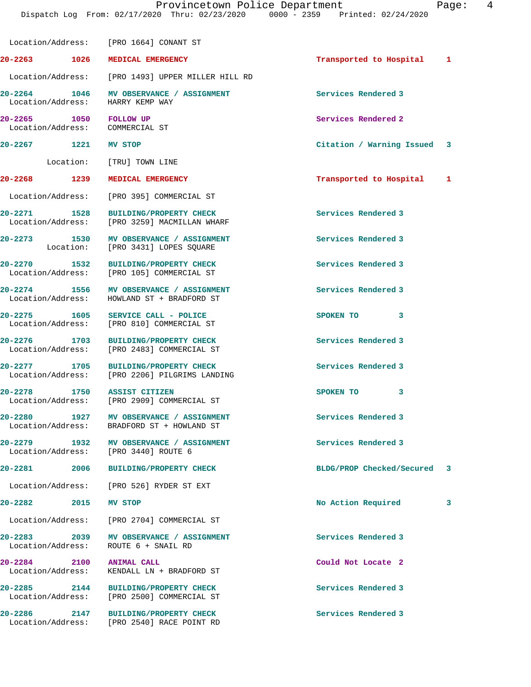|                                                           | Location/Address: [PRO 1664] CONANT ST                                                |                             |   |
|-----------------------------------------------------------|---------------------------------------------------------------------------------------|-----------------------------|---|
| 20-2263 1026                                              | MEDICAL EMERGENCY                                                                     | Transported to Hospital 1   |   |
|                                                           | Location/Address: [PRO 1493] UPPER MILLER HILL RD                                     |                             |   |
| 20-2264 1046<br>Location/Address:                         | MV OBSERVANCE / ASSIGNMENT<br>HARRY KEMP WAY                                          | Services Rendered 3         |   |
| 20-2265 1050 FOLLOW UP<br>Location/Address: COMMERCIAL ST |                                                                                       | Services Rendered 2         |   |
| 20-2267 1221 MV STOP                                      |                                                                                       | Citation / Warning Issued 3 |   |
|                                                           | Location: [TRU] TOWN LINE                                                             |                             |   |
| 20-2268 1239                                              | <b>MEDICAL EMERGENCY</b>                                                              | Transported to Hospital 1   |   |
|                                                           | Location/Address: [PRO 395] COMMERCIAL ST                                             |                             |   |
| 20-2271 1528                                              | <b>BUILDING/PROPERTY CHECK</b><br>Location/Address: [PRO 3259] MACMILLAN WHARF        | Services Rendered 3         |   |
|                                                           | 20-2273 1530 MV OBSERVANCE / ASSIGNMENT<br>Location: [PRO 3431] LOPES SQUARE          | Services Rendered 3         |   |
| 20-2270 1532                                              | BUILDING/PROPERTY CHECK<br>Location/Address: [PRO 105] COMMERCIAL ST                  | Services Rendered 3         |   |
|                                                           | 20-2274 1556 MV OBSERVANCE / ASSIGNMENT<br>Location/Address: HOWLAND ST + BRADFORD ST | Services Rendered 3         |   |
|                                                           | 20-2275 1605 SERVICE CALL - POLICE<br>Location/Address: [PRO 810] COMMERCIAL ST       | SPOKEN TO 3                 |   |
|                                                           | 20-2276 1703 BUILDING/PROPERTY CHECK<br>Location/Address: [PRO 2483] COMMERCIAL ST    | Services Rendered 3         |   |
| 20-2277 1705                                              | <b>BUILDING/PROPERTY CHECK</b><br>Location/Address: [PRO 2206] PILGRIMS LANDING       | Services Rendered 3         |   |
| 20-2278 1750 ASSIST CITIZEN                               | Location/Address: [PRO 2909] COMMERCIAL ST                                            | SPOKEN TO 3                 |   |
| 1927<br>$20 - 2280$                                       | MV OBSERVANCE / ASSIGNMENT<br>Location/Address: BRADFORD ST + HOWLAND ST              | Services Rendered 3         |   |
| 20-2279<br>1932                                           | MV OBSERVANCE / ASSIGNMENT<br>Location/Address: [PRO 3440] ROUTE 6                    | Services Rendered 3         |   |
| 20-2281<br>2006                                           | <b>BUILDING/PROPERTY CHECK</b>                                                        | BLDG/PROP Checked/Secured   | 3 |
|                                                           | Location/Address: [PRO 526] RYDER ST EXT                                              |                             |   |
| $20 - 2282$<br>2015                                       | MV STOP                                                                               | No Action Required          | 3 |
|                                                           | Location/Address: [PRO 2704] COMMERCIAL ST                                            |                             |   |
| 20-2283 2039<br>Location/Address:                         | MV OBSERVANCE / ASSIGNMENT<br>ROUTE 6 + SNAIL RD                                      | Services Rendered 3         |   |
| $20 - 2284$<br>2100                                       | <b>ANIMAL CALL</b><br>Location/Address: KENDALL LN + BRADFORD ST                      | Could Not Locate 2          |   |
| 20-2285 2144                                              | <b>BUILDING/PROPERTY CHECK</b><br>Location/Address: [PRO 2500] COMMERCIAL ST          | Services Rendered 3         |   |
| 20-2286<br>2147<br>Location/Address:                      | <b>BUILDING/PROPERTY CHECK</b><br>[PRO 2540] RACE POINT RD                            | Services Rendered 3         |   |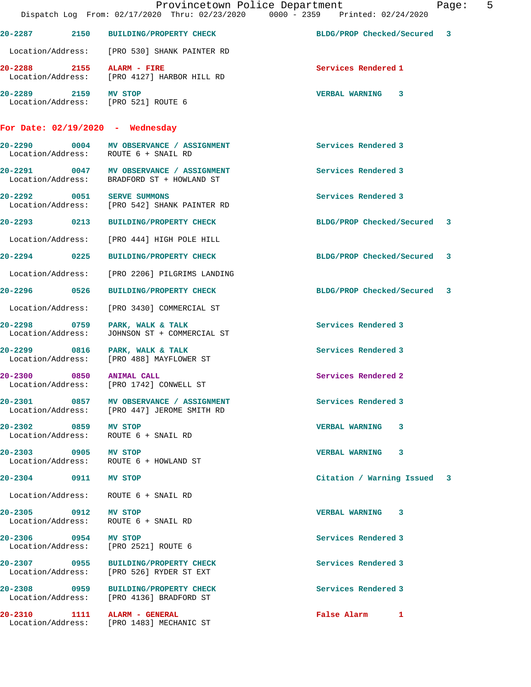|                                                                | Provincetown Police Department<br>Dispatch Log From: 02/17/2020 Thru: 02/23/2020 0000 - 2359 Printed: 02/24/2020 |                             | $\overline{5}$<br>Page: |
|----------------------------------------------------------------|------------------------------------------------------------------------------------------------------------------|-----------------------------|-------------------------|
|                                                                | 20-2287 2150 BUILDING/PROPERTY CHECK                                                                             | BLDG/PROP Checked/Secured 3 |                         |
|                                                                | Location/Address: [PRO 530] SHANK PAINTER RD                                                                     |                             |                         |
| 20-2288 2155 ALARM - FIRE                                      | Location/Address: [PRO 4127] HARBOR HILL RD                                                                      | Services Rendered 1         |                         |
| 20-2289 2159 MV STOP<br>Location/Address: [PRO 521] ROUTE 6    |                                                                                                                  | <b>VERBAL WARNING 3</b>     |                         |
| For Date: $02/19/2020$ - Wednesday                             |                                                                                                                  |                             |                         |
| Location/Address: ROUTE 6 + SNAIL RD                           | 20-2290 0004 MV OBSERVANCE / ASSIGNMENT                                                                          | Services Rendered 3         |                         |
| Location/Address:                                              | 20-2291 0047 MV OBSERVANCE / ASSIGNMENT<br>BRADFORD ST + HOWLAND ST                                              | Services Rendered 3         |                         |
| 20-2292 0051 SERVE SUMMONS                                     | Location/Address: [PRO 542] SHANK PAINTER RD                                                                     | Services Rendered 3         |                         |
|                                                                | 20-2293 0213 BUILDING/PROPERTY CHECK                                                                             | BLDG/PROP Checked/Secured 3 |                         |
|                                                                | Location/Address: [PRO 444] HIGH POLE HILL                                                                       |                             |                         |
|                                                                | 20-2294 0225 BUILDING/PROPERTY CHECK                                                                             | BLDG/PROP Checked/Secured 3 |                         |
| Location/Address:                                              | [PRO 2206] PILGRIMS LANDING                                                                                      |                             |                         |
|                                                                |                                                                                                                  | BLDG/PROP Checked/Secured 3 |                         |
| Location/Address:                                              | [PRO 3430] COMMERCIAL ST                                                                                         |                             |                         |
| 20-2298 0759 PARK, WALK & TALK<br>Location/Address:            | JOHNSON ST + COMMERCIAL ST                                                                                       | Services Rendered 3         |                         |
| 20-2299 0816 PARK, WALK & TALK                                 | Location/Address: [PRO 488] MAYFLOWER ST                                                                         | Services Rendered 3         |                         |
| 20-2300 0850 ANIMAL CALL                                       | Location/Address: [PRO 1742] CONWELL ST                                                                          | Services Rendered 2         |                         |
|                                                                | 20-2301 0857 MV OBSERVANCE / ASSIGNMENT<br>Location/Address: [PRO 447] JEROME SMITH RD                           | Services Rendered 3         |                         |
| 20-2302 0859 MV STOP<br>Location/Address: ROUTE 6 + SNAIL RD   |                                                                                                                  | VERBAL WARNING 3            |                         |
| 20-2303 0905 MV STOP<br>Location/Address: ROUTE 6 + HOWLAND ST |                                                                                                                  | VERBAL WARNING 3            |                         |
| 20-2304 0911 MV STOP                                           |                                                                                                                  | Citation / Warning Issued 3 |                         |
| Location/Address: ROUTE 6 + SNAIL RD                           |                                                                                                                  |                             |                         |
| 20-2305 0912 MV STOP<br>Location/Address: ROUTE 6 + SNAIL RD   |                                                                                                                  | VERBAL WARNING 3            |                         |
| 20-2306 0954 MV STOP<br>Location/Address: [PRO 2521] ROUTE 6   |                                                                                                                  | Services Rendered 3         |                         |
|                                                                | 20-2307 0955 BUILDING/PROPERTY CHECK<br>Location/Address: [PRO 526] RYDER ST EXT                                 | Services Rendered 3         |                         |
|                                                                | 20-2308 0959 BUILDING/PROPERTY CHECK<br>Location/Address: [PRO 4136] BRADFORD ST                                 | Services Rendered 3         |                         |
| 20-2310 1111 ALARM - GENERAL                                   | Location/Address: [PRO 1483] MECHANIC ST                                                                         | False Alarm 1               |                         |
|                                                                |                                                                                                                  |                             |                         |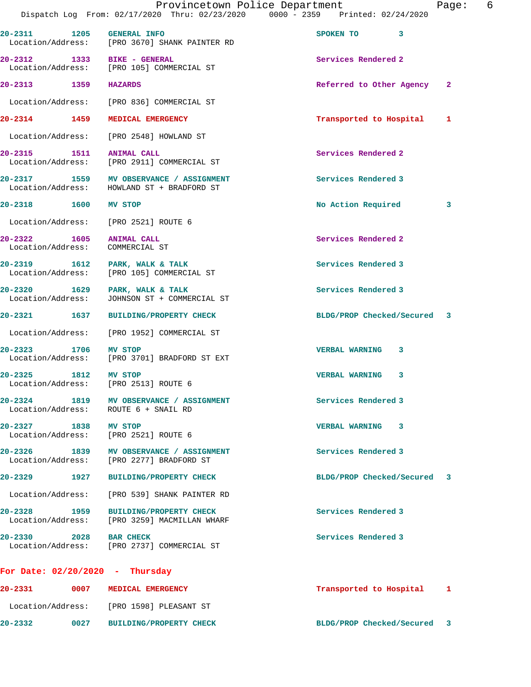|                                      | Provincetown Police Department<br>Dispatch Log From: 02/17/2020 Thru: 02/23/2020 0000 - 2359 Printed: 02/24/2020 |                             |   | Page: | 6 |
|--------------------------------------|------------------------------------------------------------------------------------------------------------------|-----------------------------|---|-------|---|
| 20-2311 1205 GENERAL INFO            | Location/Address: [PRO 3670] SHANK PAINTER RD                                                                    | SPOKEN TO 3                 |   |       |   |
| 20-2312 1333 BIKE - GENERAL          | Location/Address: [PRO 105] COMMERCIAL ST                                                                        | Services Rendered 2         |   |       |   |
| 20-2313 1359 HAZARDS                 |                                                                                                                  | Referred to Other Agency    |   | -2    |   |
|                                      | Location/Address: [PRO 836] COMMERCIAL ST                                                                        |                             |   |       |   |
|                                      | 20-2314 1459 MEDICAL EMERGENCY                                                                                   | Transported to Hospital     |   | 1     |   |
| Location/Address:                    | [PRO 2548] HOWLAND ST                                                                                            |                             |   |       |   |
| 20-2315 1511 ANIMAL CALL             | Location/Address: [PRO 2911] COMMERCIAL ST                                                                       | Services Rendered 2         |   |       |   |
|                                      | 20-2317 1559 MV OBSERVANCE / ASSIGNMENT<br>Location/Address: HOWLAND ST + BRADFORD ST                            | Services Rendered 3         |   |       |   |
| 20-2318 1600                         | <b>MV STOP</b>                                                                                                   | No Action Required          |   | 3     |   |
| Location/Address:                    | [PRO 2521] ROUTE 6                                                                                               |                             |   |       |   |
| $20 - 2322$<br>Location/Address:     | 1605 ANIMAL CALL<br>COMMERCIAL ST                                                                                | Services Rendered 2         |   |       |   |
| Location/Address:                    | 20-2319 1612 PARK, WALK & TALK<br>[PRO 105] COMMERCIAL ST                                                        | Services Rendered 3         |   |       |   |
| 20-2320<br>Location/Address:         | 1629 PARK, WALK & TALK<br>JOHNSON ST + COMMERCIAL ST                                                             | Services Rendered 3         |   |       |   |
|                                      | 20-2321 1637 BUILDING/PROPERTY CHECK                                                                             | BLDG/PROP Checked/Secured 3 |   |       |   |
|                                      | Location/Address: [PRO 1952] COMMERCIAL ST                                                                       |                             |   |       |   |
| 1706<br>20-2323<br>Location/Address: | <b>MV STOP</b><br>[PRO 3701] BRADFORD ST EXT                                                                     | <b>VERBAL WARNING</b>       | 3 |       |   |
| 20-2325 1812 MV STOP                 | Location/Address: [PRO 2513] ROUTE 6                                                                             | <b>VERBAL WARNING</b>       | 3 |       |   |
|                                      | 20-2324 1819 MV OBSERVANCE / ASSIGNMENT<br>Location/Address: ROUTE 6 + SNAIL RD                                  | Services Rendered 3         |   |       |   |
| 20-2327 1838 MV STOP                 | Location/Address: [PRO 2521] ROUTE 6                                                                             | VERBAL WARNING 3            |   |       |   |
|                                      | 20-2326 1839 MV OBSERVANCE / ASSIGNMENT<br>Location/Address: [PRO 2277] BRADFORD ST                              | Services Rendered 3         |   |       |   |
|                                      | 20-2329 1927 BUILDING/PROPERTY CHECK                                                                             | BLDG/PROP Checked/Secured   |   | 3     |   |
| Location/Address:                    | [PRO 539] SHANK PAINTER RD                                                                                       |                             |   |       |   |
| 20-2328 1959                         | <b>BUILDING/PROPERTY CHECK</b><br>Location/Address: [PRO 3259] MACMILLAN WHARF                                   | Services Rendered 3         |   |       |   |
| 20-2330 2028 BAR CHECK               | Location/Address: [PRO 2737] COMMERCIAL ST                                                                       | Services Rendered 3         |   |       |   |
| For Date: $02/20/2020 - Thursday$    |                                                                                                                  |                             |   |       |   |
| 20-2331                              | 0007 MEDICAL EMERGENCY                                                                                           | Transported to Hospital 1   |   |       |   |
|                                      | Location/Address: [PRO 1598] PLEASANT ST                                                                         |                             |   |       |   |

**20-2332 0027 BUILDING/PROPERTY CHECK BLDG/PROP Checked/Secured 3**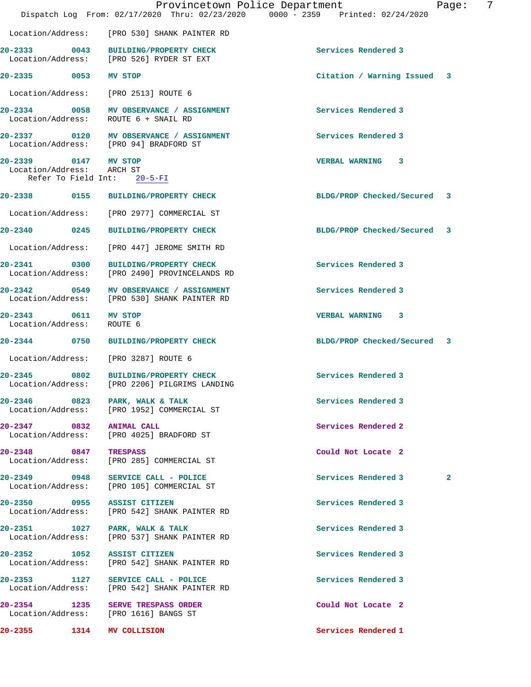|                                                   |                                                                                         | Provincetown Police Department<br>Dispatch Log From: 02/17/2020 Thru: 02/23/2020 0000 - 2359 Printed: 02/24/2020 | -7<br>Page:  |
|---------------------------------------------------|-----------------------------------------------------------------------------------------|------------------------------------------------------------------------------------------------------------------|--------------|
|                                                   | Location/Address: [PRO 530] SHANK PAINTER RD                                            |                                                                                                                  |              |
|                                                   | 20-2333 0043 BUILDING/PROPERTY CHECK<br>Location/Address: [PRO 526] RYDER ST EXT        | Services Rendered 3                                                                                              |              |
| 20-2335 0053 MV STOP                              |                                                                                         | Citation / Warning Issued 3                                                                                      |              |
|                                                   | Location/Address: [PRO 2513] ROUTE 6                                                    |                                                                                                                  |              |
| Location/Address:                                 | 20-2334 0058 MV OBSERVANCE / ASSIGNMENT<br>ROUTE 6 + SNAIL RD                           | Services Rendered 3                                                                                              |              |
|                                                   | 20-2337 0120 MV OBSERVANCE / ASSIGNMENT<br>Location/Address: [PRO 94] BRADFORD ST       | Services Rendered 3                                                                                              |              |
| 20-2339 0147 MV STOP<br>Location/Address: ARCH ST | Refer To Field Int: 20-5-FI                                                             | VERBAL WARNING 3                                                                                                 |              |
|                                                   | 20-2338 0155 BUILDING/PROPERTY CHECK                                                    | BLDG/PROP Checked/Secured 3                                                                                      |              |
|                                                   |                                                                                         |                                                                                                                  |              |
|                                                   | Location/Address: [PRO 2977] COMMERCIAL ST<br>20-2340 0245 BUILDING/PROPERTY CHECK      | BLDG/PROP Checked/Secured 3                                                                                      |              |
|                                                   |                                                                                         |                                                                                                                  |              |
|                                                   | Location/Address: [PRO 447] JEROME SMITH RD                                             |                                                                                                                  |              |
|                                                   | 20-2341 0300 BUILDING/PROPERTY CHECK<br>Location/Address: [PRO 2490] PROVINCELANDS RD   | Services Rendered 3                                                                                              |              |
|                                                   | 20-2342 0549 MV OBSERVANCE / ASSIGNMENT<br>Location/Address: [PRO 530] SHANK PAINTER RD | Services Rendered 3                                                                                              |              |
| 20-2343 0611 MV STOP<br>Location/Address:         | ROUTE 6                                                                                 | VERBAL WARNING 3                                                                                                 |              |
|                                                   | 20-2344 0750 BUILDING/PROPERTY CHECK                                                    | BLDG/PROP Checked/Secured 3                                                                                      |              |
|                                                   | Location/Address: [PRO 3287] ROUTE 6                                                    |                                                                                                                  |              |
|                                                   | 20-2345 0802 BUILDING/PROPERTY CHECK<br>Location/Address: [PRO 2206] PILGRIMS LANDING   | Services Rendered 3                                                                                              |              |
|                                                   | 20-2346 0823 PARK, WALK & TALK<br>Location/Address: [PRO 1952] COMMERCIAL ST            | Services Rendered 3                                                                                              |              |
| 20-2347 0832 ANIMAL CALL                          | Location/Address: [PRO 4025] BRADFORD ST                                                | Services Rendered 2                                                                                              |              |
| 20-2348 0847 TRESPASS                             | Location/Address: [PRO 285] COMMERCIAL ST                                               | Could Not Locate 2                                                                                               |              |
|                                                   | 20-2349 0948 SERVICE CALL - POLICE<br>Location/Address: [PRO 105] COMMERCIAL ST         | Services Rendered 3                                                                                              | $\mathbf{2}$ |
| 20-2350 0955 ASSIST CITIZEN                       | Location/Address: [PRO 542] SHANK PAINTER RD                                            | Services Rendered 3                                                                                              |              |
|                                                   | 20-2351 1027 PARK, WALK & TALK<br>Location/Address: [PRO 537] SHANK PAINTER RD          | Services Rendered 3                                                                                              |              |
| 20-2352 1052 ASSIST CITIZEN                       | Location/Address: [PRO 542] SHANK PAINTER RD                                            | Services Rendered 3                                                                                              |              |
|                                                   | 20-2353 1127 SERVICE CALL - POLICE<br>Location/Address: [PRO 542] SHANK PAINTER RD      | Services Rendered 3                                                                                              |              |
|                                                   | 20-2354 1235 SERVE TRESPASS ORDER<br>Location/Address: [PRO 1616] BANGS ST              | Could Not Locate 2                                                                                               |              |
| $20 - 2355$                                       | 1314 MV COLLISION                                                                       | Services Rendered 1                                                                                              |              |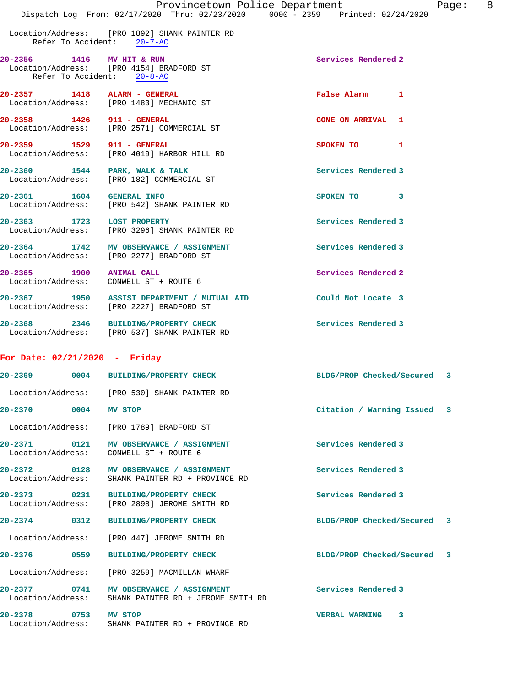|                                                         | Provincetown Police Department<br>Dispatch Log From: 02/17/2020 Thru: 02/23/2020 0000 - 2359 Printed: 02/24/2020 | Page: 8                     |  |
|---------------------------------------------------------|------------------------------------------------------------------------------------------------------------------|-----------------------------|--|
|                                                         | Location/Address: [PRO 1892] SHANK PAINTER RD<br>Refer To Accident: 20-7-AC                                      |                             |  |
| 20-2356 1416 MV HIT & RUN<br>Refer To Accident: 20-8-AC | Location/Address: [PRO 4154] BRADFORD ST                                                                         | Services Rendered 2         |  |
|                                                         | 20-2357 1418 ALARM - GENERAL<br>Location/Address: [PRO 1483] MECHANIC ST                                         | False Alarm 1               |  |
| 20-2358 1426 911 - GENERAL                              | Location/Address: [PRO 2571] COMMERCIAL ST                                                                       | <b>GONE ON ARRIVAL 1</b>    |  |
|                                                         | 20-2359 1529 911 - GENERAL<br>Location/Address: [PRO 4019] HARBOR HILL RD                                        | SPOKEN TO 1                 |  |
|                                                         | 20-2360 1544 PARK, WALK & TALK<br>Location/Address: [PRO 182] COMMERCIAL ST                                      | Services Rendered 3         |  |
| 20-2361 1604 GENERAL INFO                               | Location/Address: [PRO 542] SHANK PAINTER RD                                                                     | SPOKEN TO 3                 |  |
| 20-2363 1723 LOST PROPERTY                              | Location/Address: [PRO 3296] SHANK PAINTER RD                                                                    | Services Rendered 3         |  |
|                                                         | 20-2364 1742 MV OBSERVANCE / ASSIGNMENT<br>Location/Address: [PRO 2277] BRADFORD ST                              | Services Rendered 3         |  |
|                                                         | 20-2365 1900 ANIMAL CALL<br>Location/Address: CONWELL ST + ROUTE 6                                               | Services Rendered 2         |  |
|                                                         | 20-2367 1950 ASSIST DEPARTMENT / MUTUAL AID<br>Location/Address: [PRO 2227] BRADFORD ST                          | Could Not Locate 3          |  |
|                                                         | 20-2368 2346 BUILDING/PROPERTY CHECK<br>Location/Address: [PRO 537] SHANK PAINTER RD                             | Services Rendered 3         |  |
| For Date: $02/21/2020$ - Friday                         |                                                                                                                  |                             |  |
|                                                         | 20-2369 0004 BUILDING/PROPERTY CHECK                                                                             | BLDG/PROP Checked/Secured 3 |  |
|                                                         | Location/Address: [PRO 530] SHANK PAINTER RD                                                                     |                             |  |
| 20-2370 0004 MV STOP                                    |                                                                                                                  | Citation / Warning Issued 3 |  |
|                                                         | Location/Address: [PRO 1789] BRADFORD ST                                                                         |                             |  |
|                                                         | 20-2371 0121 MV OBSERVANCE / ASSIGNMENT<br>Location/Address: CONWELL ST + ROUTE 6                                | Services Rendered 3         |  |
| $20 - 2372$ 0128<br>Location/Address:                   | MV OBSERVANCE / ASSIGNMENT<br>SHANK PAINTER RD + PROVINCE RD                                                     | Services Rendered 3         |  |
|                                                         | 20-2373 0231 BUILDING/PROPERTY CHECK<br>Location/Address: [PRO 2898] JEROME SMITH RD                             | Services Rendered 3         |  |
|                                                         | 20-2374 0312 BUILDING/PROPERTY CHECK                                                                             | BLDG/PROP Checked/Secured 3 |  |
|                                                         | Location/Address: [PRO 447] JEROME SMITH RD                                                                      |                             |  |
|                                                         |                                                                                                                  | BLDG/PROP Checked/Secured 3 |  |
|                                                         | Location/Address: [PRO 3259] MACMILLAN WHARF                                                                     |                             |  |
|                                                         | 20-2377 0741 MV OBSERVANCE / ASSIGNMENT<br>Location/Address: SHANK PAINTER RD + JEROME SMITH RD                  | Services Rendered 3         |  |
| 20-2378<br>0753 MV STOP                                 |                                                                                                                  | VERBAL WARNING 3            |  |

Location/Address: SHANK PAINTER RD + PROVINCE RD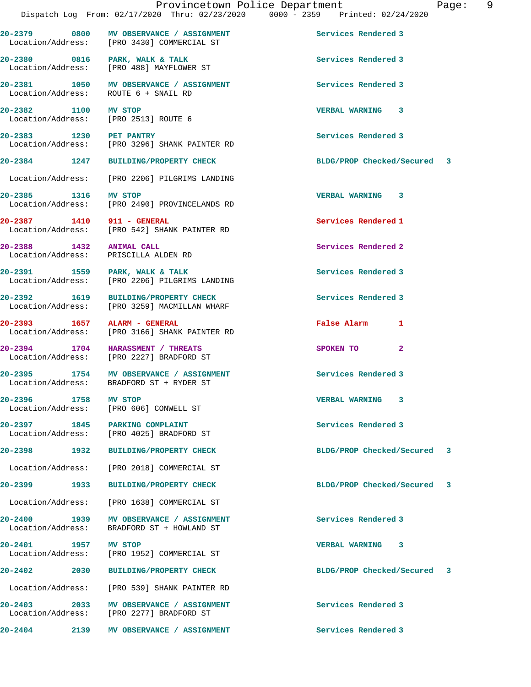**20-2379 0800 MV OBSERVANCE / ASSIGNMENT Services Rendered 3**  Location/Address: [PRO 3430] COMMERCIAL ST 20-2380 0816 PARK, WALK & TALK **Services Rendered 3**  Location/Address: [PRO 488] MAYFLOWER ST **20-2381 1050 MV OBSERVANCE / ASSIGNMENT Services Rendered 3**  Location/Address: ROUTE 6 + SNAIL RD **20-2382 1100 MV STOP VERBAL WARNING 3**  Location/Address: [PRO 2513] ROUTE 6 **20-2383 1230 PET PANTRY Services Rendered 3**  Location/Address: [PRO 3296] SHANK PAINTER RD **20-2384 1247 BUILDING/PROPERTY CHECK BLDG/PROP Checked/Secured 3** Location/Address: [PRO 2206] PILGRIMS LANDING **20-2385 1316 MV STOP VERBAL WARNING 3**  Location/Address: [PRO 2490] PROVINCELANDS RD **20-2387 1410 911 - GENERAL Services Rendered 1**  Location/Address: [PRO 542] SHANK PAINTER RD **20-2388 1432 ANIMAL CALL Services Rendered 2**  Location/Address: PRISCILLA ALDEN RD **20-2391 1559 PARK, WALK & TALK Services Rendered 3**  Location/Address: [PRO 2206] PILGRIMS LANDING **20-2392 1619 BUILDING/PROPERTY CHECK Services Rendered 3**  Location/Address: [PRO 3259] MACMILLAN WHARF **20-2393 1657 ALARM - GENERAL False Alarm 1**  Location/Address: [PRO 3166] SHANK PAINTER RD **20-2394 1704 HARASSMENT / THREATS SPOKEN TO 2**  [PRO 2227] BRADFORD ST **20-2395 1754 MV OBSERVANCE / ASSIGNMENT Services Rendered 3**  Location/Address: BRADFORD ST + RYDER ST **20-2396 1758 MV STOP VERBAL WARNING 3**  Location/Address: [PRO 606] CONWELL ST **20-2397 1845 PARKING COMPLAINT Services Rendered 3**  Location/Address: [PRO 4025] BRADFORD ST **20-2398 1932 BUILDING/PROPERTY CHECK BLDG/PROP Checked/Secured 3** Location/Address: [PRO 2018] COMMERCIAL ST **20-2399 1933 BUILDING/PROPERTY CHECK BLDG/PROP Checked/Secured 3** Location/Address: [PRO 1638] COMMERCIAL ST **20-2400 1939 MV OBSERVANCE / ASSIGNMENT Services Rendered 3**  Location/Address: BRADFORD ST + HOWLAND ST **20-2401 1957 MV STOP VERBAL WARNING 3**  Location/Address: [PRO 1952] COMMERCIAL ST **20-2402 2030 BUILDING/PROPERTY CHECK BLDG/PROP Checked/Secured 3** Location/Address: [PRO 539] SHANK PAINTER RD 20-2403 2033 MV OBSERVANCE / ASSIGNMENT **Services Rendered 3**  Location/Address: [PRO 2277] BRADFORD ST **20-2404 2139 MV OBSERVANCE / ASSIGNMENT Services Rendered 3**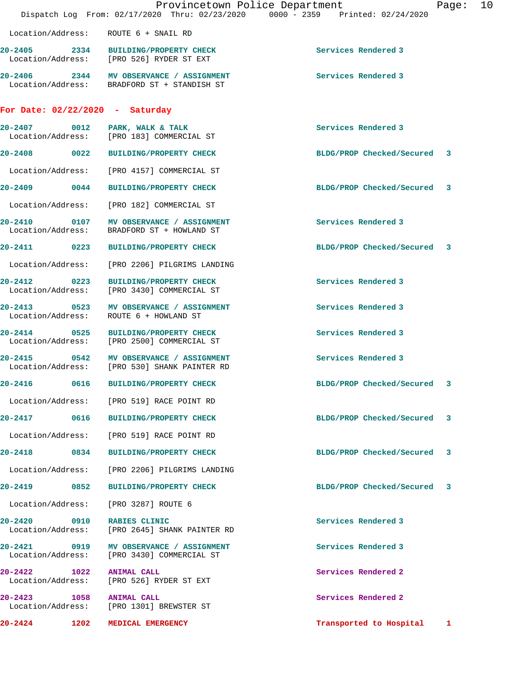|                                                   |                   | Provincetown Police Department<br>Dispatch Log From: 02/17/2020 Thru: 02/23/2020 0000 - 2359 Printed: 02/24/2020 |                             | Page: | 10 |
|---------------------------------------------------|-------------------|------------------------------------------------------------------------------------------------------------------|-----------------------------|-------|----|
|                                                   |                   | Location/Address: ROUTE 6 + SNAIL RD                                                                             |                             |       |    |
|                                                   |                   | 20-2405 2334 BUILDING/PROPERTY CHECK<br>Location/Address: [PRO 526] RYDER ST EXT                                 | Services Rendered 3         |       |    |
|                                                   |                   | 20-2406 2344 MV OBSERVANCE / ASSIGNMENT<br>Location/Address: BRADFORD ST + STANDISH ST                           | Services Rendered 3         |       |    |
| For Date: $02/22/2020 - Saturday$                 |                   |                                                                                                                  |                             |       |    |
|                                                   |                   | 20-2407 0012 PARK, WALK & TALK<br>Location/Address: [PRO 183] COMMERCIAL ST                                      | Services Rendered 3         |       |    |
|                                                   |                   | 20-2408 0022 BUILDING/PROPERTY CHECK                                                                             | BLDG/PROP Checked/Secured 3 |       |    |
| Location/Address:                                 |                   | [PRO 4157] COMMERCIAL ST                                                                                         |                             |       |    |
| $20 - 2409$ 0044                                  |                   | <b>BUILDING/PROPERTY CHECK</b>                                                                                   | BLDG/PROP Checked/Secured   | 3     |    |
| Location/Address:                                 |                   | [PRO 182] COMMERCIAL ST                                                                                          |                             |       |    |
| 20-2410 0107<br>Location/Address:                 |                   | MV OBSERVANCE / ASSIGNMENT<br>BRADFORD ST + HOWLAND ST                                                           | Services Rendered 3         |       |    |
|                                                   |                   | 20-2411 0223 BUILDING/PROPERTY CHECK                                                                             | BLDG/PROP Checked/Secured 3 |       |    |
| Location/Address:                                 |                   | [PRO 2206] PILGRIMS LANDING                                                                                      |                             |       |    |
| Location/Address:                                 |                   | 20-2412 0223 BUILDING/PROPERTY CHECK<br>[PRO 3430] COMMERCIAL ST                                                 | Services Rendered 3         |       |    |
| $\overline{0523}$<br>20-2413<br>Location/Address: |                   | MV OBSERVANCE / ASSIGNMENT<br>ROUTE 6 + HOWLAND ST                                                               | Services Rendered 3         |       |    |
|                                                   |                   | 20-2414 0525 BUILDING/PROPERTY CHECK<br>Location/Address: [PRO 2500] COMMERCIAL ST                               | Services Rendered 3         |       |    |
| $20 - 2415$                                       | $\overline{0542}$ | MV OBSERVANCE / ASSIGNMENT<br>Location/Address: [PRO 530] SHANK PAINTER RD                                       | Services Rendered 3         |       |    |
| 20-2416                                           | 0616              | <b>BUILDING/PROPERTY CHECK</b>                                                                                   | BLDG/PROP Checked/Secured   | 3     |    |
|                                                   |                   | Location/Address: [PRO 519] RACE POINT RD                                                                        |                             |       |    |
|                                                   |                   | 20-2417 0616 BUILDING/PROPERTY CHECK                                                                             | BLDG/PROP Checked/Secured   | 3     |    |
| Location/Address:                                 |                   | [PRO 519] RACE POINT RD                                                                                          |                             |       |    |
| 20-2418                                           | 0834              | <b>BUILDING/PROPERTY CHECK</b>                                                                                   | BLDG/PROP Checked/Secured   | -3    |    |
| Location/Address:                                 |                   | [PRO 2206] PILGRIMS LANDING                                                                                      |                             |       |    |
| 20-2419 0852                                      |                   | <b>BUILDING/PROPERTY CHECK</b>                                                                                   | BLDG/PROP Checked/Secured   | 3     |    |
| Location/Address:                                 |                   | [PRO 3287] ROUTE 6                                                                                               |                             |       |    |
| 20-2420                                           |                   | 0910 RABIES CLINIC<br>Location/Address: [PRO 2645] SHANK PAINTER RD                                              | Services Rendered 3         |       |    |
| Location/Address:                                 |                   | 20-2421 0919 MV OBSERVANCE / ASSIGNMENT<br>[PRO 3430] COMMERCIAL ST                                              | Services Rendered 3         |       |    |
| 20-2422<br>Location/Address:                      | 1022              | <b>ANIMAL CALL</b><br>[PRO 526] RYDER ST EXT                                                                     | Services Rendered 2         |       |    |
| 20-2423 1058<br>Location/Address:                 |                   | <b>ANIMAL CALL</b><br>[PRO 1301] BREWSTER ST                                                                     | Services Rendered 2         |       |    |
| 20-2424<br>1202                                   |                   | MEDICAL EMERGENCY                                                                                                | Transported to Hospital 1   |       |    |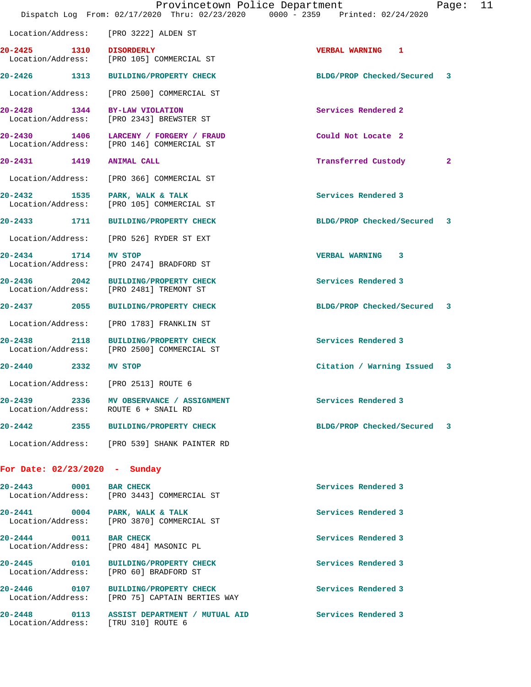|                               |                                                                                     | Provincetown Police Department<br>11<br>Page:<br>Dispatch Log From: 02/17/2020 Thru: 02/23/2020 0000 - 2359 Printed: 02/24/2020 |  |
|-------------------------------|-------------------------------------------------------------------------------------|---------------------------------------------------------------------------------------------------------------------------------|--|
|                               | Location/Address: [PRO 3222] ALDEN ST                                               |                                                                                                                                 |  |
| 20-2425 1310 DISORDERLY       | Location/Address: [PRO 105] COMMERCIAL ST                                           | <b>VERBAL WARNING 1</b>                                                                                                         |  |
|                               | 20-2426 1313 BUILDING/PROPERTY CHECK                                                | BLDG/PROP Checked/Secured 3                                                                                                     |  |
|                               | Location/Address: [PRO 2500] COMMERCIAL ST                                          |                                                                                                                                 |  |
| 20-2428 1344 BY-LAW VIOLATION | Location/Address: [PRO 2343] BREWSTER ST                                            | Services Rendered 2                                                                                                             |  |
|                               | 20-2430 1406 LARCENY / FORGERY / FRAUD<br>Location/Address: [PRO 146] COMMERCIAL ST | Could Not Locate 2                                                                                                              |  |
| 20-2431 1419 ANIMAL CALL      |                                                                                     | Transferred Custody<br>$\mathbf{2}$                                                                                             |  |
|                               | Location/Address: [PRO 366] COMMERCIAL ST                                           |                                                                                                                                 |  |
|                               | 20-2432 1535 PARK, WALK & TALK<br>Location/Address: [PRO 105] COMMERCIAL ST         | Services Rendered 3                                                                                                             |  |
|                               | 20-2433 1711 BUILDING/PROPERTY CHECK                                                | BLDG/PROP Checked/Secured 3                                                                                                     |  |
|                               | Location/Address: [PRO 526] RYDER ST EXT                                            |                                                                                                                                 |  |
| 20-2434 1714 MV STOP          | Location/Address: [PRO 2474] BRADFORD ST                                            | VERBAL WARNING 3                                                                                                                |  |
|                               | 20-2436 2042 BUILDING/PROPERTY CHECK<br>Location/Address: [PRO 2481] TREMONT ST     | Services Rendered 3                                                                                                             |  |
|                               | 20-2437 2055 BUILDING/PROPERTY CHECK                                                | BLDG/PROP Checked/Secured 3                                                                                                     |  |
|                               | Location/Address: [PRO 1783] FRANKLIN ST                                            |                                                                                                                                 |  |
|                               | 20-2438 2118 BUILDING/PROPERTY CHECK<br>Location/Address: [PRO 2500] COMMERCIAL ST  | Services Rendered 3                                                                                                             |  |
| 20-2440 2332                  | MV STOP                                                                             | Citation / Warning Issued 3                                                                                                     |  |
| Location/Address:             | [PRO 2513] ROUTE 6                                                                  |                                                                                                                                 |  |
|                               | 20-2439 2336 MV OBSERVANCE / ASSIGNMENT<br>Location/Address: ROUTE 6 + SNAIL RD     | Services Rendered 3                                                                                                             |  |
|                               | 20-2442 2355 BUILDING/PROPERTY CHECK                                                | BLDG/PROP Checked/Secured 3                                                                                                     |  |
|                               | Location/Address: [PRO 539] SHANK PAINTER RD                                        |                                                                                                                                 |  |
| For Date: 02/23/2020 - Sunday |                                                                                     |                                                                                                                                 |  |
| $20 - 2443$<br>0001           | <b>BAR CHECK</b><br>Location/Address: [PRO 3443] COMMERCIAL ST                      | Services Rendered 3                                                                                                             |  |
|                               | 20-2441 0004 PARK, WALK & TALK<br>Location/Address: [PRO 3870] COMMERCIAL ST        | Services Rendered 3                                                                                                             |  |
| 20-2444 0011                  | <b>BAR CHECK</b><br>Location/Address: [PRO 484] MASONIC PL                          | Services Rendered 3                                                                                                             |  |

20-2445 0101 BUILDING/PROPERTY CHECK **Services Rendered 3** Location/Address: [PRO 60] BRADFORD ST

**20-2446 0107 BUILDING/PROPERTY CHECK Services Rendered 3** 

Location/Address: [PRO 75] CAPTAIN BERTIES WAY

**20-2448 0113 ASSIST DEPARTMENT / MUTUAL AID Services Rendered 3**  Location/Address: [TRU 310] ROUTE 6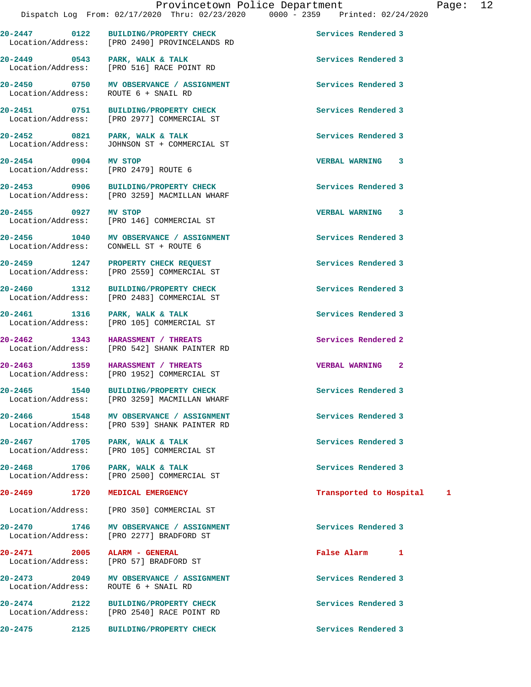**20-2447 0122 BUILDING/PROPERTY CHECK Services Rendered 3** 

Location/Address: [PRO 2490] PROVINCELANDS RD

**20-2449 0543 PARK, WALK & TALK Services Rendered 3**  Location/Address: [PRO 516] RACE POINT RD **20-2450 0750 MV OBSERVANCE / ASSIGNMENT Services Rendered 3**  Location/Address: ROUTE 6 + SNAIL RD **20-2451 0751 BUILDING/PROPERTY CHECK Services Rendered 3**  [PRO 2977] COMMERCIAL ST **20-2452 0821 PARK, WALK & TALK Services Rendered 3**  Location/Address: JOHNSON ST + COMMERCIAL ST **20-2454 0904 MV STOP VERBAL WARNING 3**  Location/Address: [PRO 2479] ROUTE 6 **20-2453 0906 BUILDING/PROPERTY CHECK Services Rendered 3**  [PRO 3259] MACMILLAN WHARF **20-2455 0927 MV STOP VERBAL WARNING 3**  Location/Address: [PRO 146] COMMERCIAL ST 20-2456 1040 MV OBSERVANCE / ASSIGNMENT **Services Rendered 3**  Location/Address: CONWELL ST + ROUTE 6 **20-2459 1247 PROPERTY CHECK REQUEST Services Rendered 3**  Location/Address: [PRO 2559] COMMERCIAL ST **20-2460 1312 BUILDING/PROPERTY CHECK Services Rendered 3**  Location/Address: [PRO 2483] COMMERCIAL ST **20-2461 1316 PARK, WALK & TALK Services Rendered 3**  Location/Address: [PRO 105] COMMERCIAL ST **20-2462 1343 HARASSMENT / THREATS Services Rendered 2**  Location/Address: [PRO 542] SHANK PAINTER RD **20-2463 1359 HARASSMENT / THREATS VERBAL WARNING 2**  [PRO 1952] COMMERCIAL ST **20-2465 1540 BUILDING/PROPERTY CHECK Services Rendered 3**  Location/Address: [PRO 3259] MACMILLAN WHARF **20-2466 1548 MV OBSERVANCE / ASSIGNMENT Services Rendered 3**  Location/Address: [PRO 539] SHANK PAINTER RD **20-2467 1705 PARK, WALK & TALK Services Rendered 3**  Location/Address: [PRO 105] COMMERCIAL ST 20-2468 1706 PARK, WALK & TALK **PARK, 1706 PARK, WALK & TALK** Services Rendered 3 **1706** Extended 3 [PRO 2500] COMMERCIAL ST **20-2469 1720 MEDICAL EMERGENCY Transported to Hospital 1** Location/Address: [PRO 350] COMMERCIAL ST **20-2470 1746 MV OBSERVANCE / ASSIGNMENT Services Rendered 3**  Location/Address: [PRO 2277] BRADFORD ST **20-2471 2005 ALARM - GENERAL False Alarm 1**  Location/Address: [PRO 57] BRADFORD ST **20-2473 2049 MV OBSERVANCE / ASSIGNMENT Services Rendered 3**  Location/Address: ROUTE 6 + SNAIL RD **20-2474 2122 BUILDING/PROPERTY CHECK Services Rendered 3**  Location/Address: **20-2475 2125 BUILDING/PROPERTY CHECK Services Rendered 3**